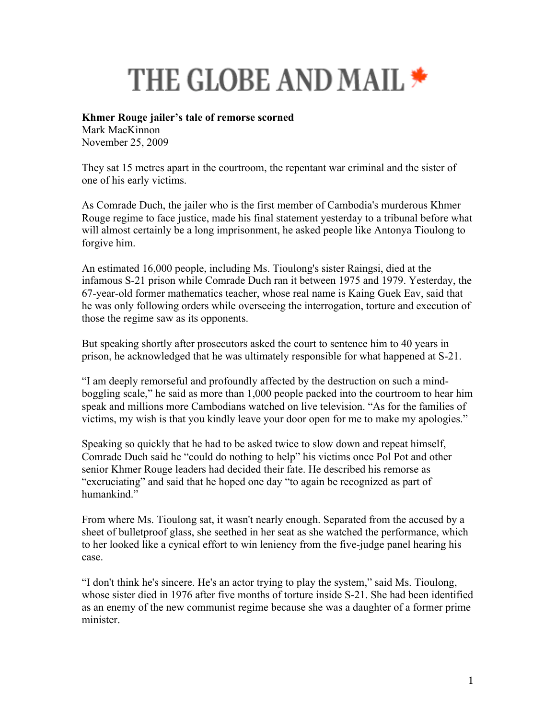## **THE GLOBE AND MAIL \***

## **Khmer Rouge jailer's tale of remorse scorned**

Mark MacKinnon November 25, 2009

They sat 15 metres apart in the courtroom, the repentant war criminal and the sister of one of his early victims.

As Comrade Duch, the jailer who is the first member of Cambodia's murderous Khmer Rouge regime to face justice, made his final statement yesterday to a tribunal before what will almost certainly be a long imprisonment, he asked people like Antonya Tioulong to forgive him.

An estimated 16,000 people, including Ms. Tioulong's sister Raingsi, died at the infamous S-21 prison while Comrade Duch ran it between 1975 and 1979. Yesterday, the 67-year-old former mathematics teacher, whose real name is Kaing Guek Eav, said that he was only following orders while overseeing the interrogation, torture and execution of those the regime saw as its opponents.

But speaking shortly after prosecutors asked the court to sentence him to 40 years in prison, he acknowledged that he was ultimately responsible for what happened at S-21.

"I am deeply remorseful and profoundly affected by the destruction on such a mindboggling scale," he said as more than 1,000 people packed into the courtroom to hear him speak and millions more Cambodians watched on live television. "As for the families of victims, my wish is that you kindly leave your door open for me to make my apologies."

Speaking so quickly that he had to be asked twice to slow down and repeat himself, Comrade Duch said he "could do nothing to help" his victims once Pol Pot and other senior Khmer Rouge leaders had decided their fate. He described his remorse as "excruciating" and said that he hoped one day "to again be recognized as part of humankind."

From where Ms. Tioulong sat, it wasn't nearly enough. Separated from the accused by a sheet of bulletproof glass, she seethed in her seat as she watched the performance, which to her looked like a cynical effort to win leniency from the five-judge panel hearing his case.

"I don't think he's sincere. He's an actor trying to play the system," said Ms. Tioulong, whose sister died in 1976 after five months of torture inside S-21. She had been identified as an enemy of the new communist regime because she was a daughter of a former prime minister.